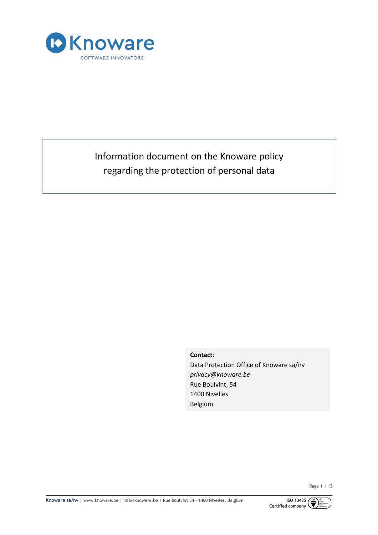

# Information document on the Knoware policy regarding the protection of personal data

**Contact**:

Data Protection Office of Knoware sa/nv *privacy@knoware.be* Rue Boulvint, 54 1400 Nivelles Belgium

Page **1** | 13

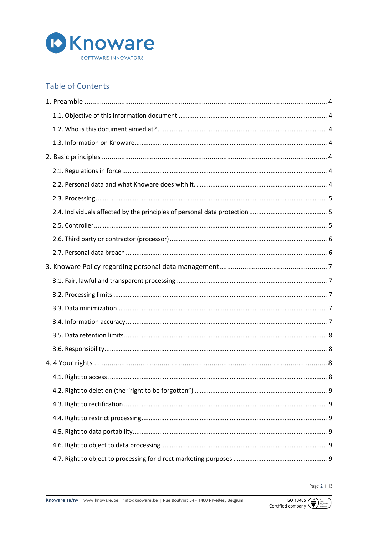

## **Table of Contents**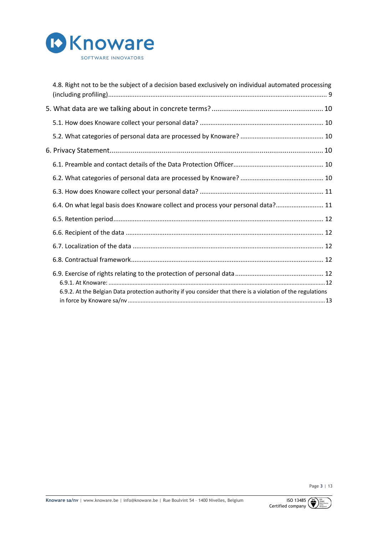

| 4.8. Right not to be the subject of a decision based exclusively on individual automated processing          |
|--------------------------------------------------------------------------------------------------------------|
|                                                                                                              |
|                                                                                                              |
|                                                                                                              |
|                                                                                                              |
|                                                                                                              |
|                                                                                                              |
|                                                                                                              |
| 6.4. On what legal basis does Knoware collect and process your personal data? 11                             |
|                                                                                                              |
|                                                                                                              |
|                                                                                                              |
|                                                                                                              |
|                                                                                                              |
| 6.9.2. At the Belgian Data protection authority if you consider that there is a violation of the regulations |
|                                                                                                              |



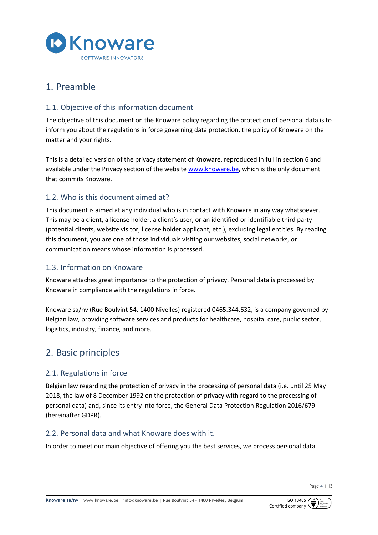

## 1. Preamble

## 1.1. Objective of this information document

The objective of this document on the Knoware policy regarding the protection of personal data is to inform you about the regulations in force governing data protection, the policy of Knoware on the matter and your rights.

This is a detailed version of the privacy statement of Knoware, reproduced in full in section 6 and available under the Privacy section of the website www.knoware.be, which is the only document that commits Knoware.

## 1.2. Who is this document aimed at?

This document is aimed at any individual who is in contact with Knoware in any way whatsoever. This may be a client, a license holder, a client's user, or an identified or identifiable third party (potential clients, website visitor, license holder applicant, etc.), excluding legal entities. By reading this document, you are one of those individuals visiting our websites, social networks, or communication means whose information is processed.

## 1.3. Information on Knoware

Knoware attaches great importance to the protection of privacy. Personal data is processed by Knoware in compliance with the regulations in force.

Knoware sa/nv (Rue Boulvint 54, 1400 Nivelles) registered 0465.344.632, is a company governed by Belgian law, providing software services and products for healthcare, hospital care, public sector, logistics, industry, finance, and more.

## 2. Basic principles

## 2.1. Regulations in force

Belgian law regarding the protection of privacy in the processing of personal data (i.e. until 25 May 2018, the law of 8 December 1992 on the protection of privacy with regard to the processing of personal data) and, since its entry into force, the General Data Protection Regulation 2016/679 (hereinafter GDPR).

### 2.2. Personal data and what Knoware does with it.

In order to meet our main objective of offering you the best services, we process personal data.

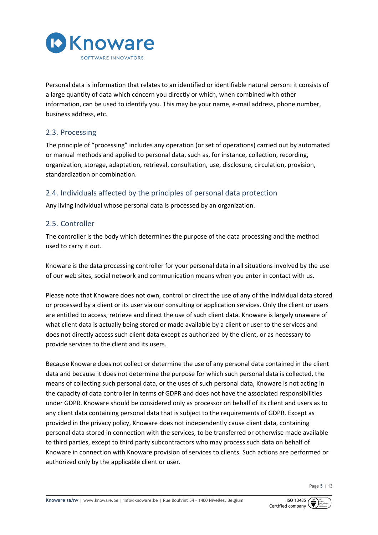

Personal data is information that relates to an identified or identifiable natural person: it consists of a large quantity of data which concern you directly or which, when combined with other information, can be used to identify you. This may be your name, e-mail address, phone number, business address, etc.

## 2.3. Processing

The principle of "processing" includes any operation (or set of operations) carried out by automated or manual methods and applied to personal data, such as, for instance, collection, recording, organization, storage, adaptation, retrieval, consultation, use, disclosure, circulation, provision, standardization or combination.

## 2.4. Individuals affected by the principles of personal data protection

Any living individual whose personal data is processed by an organization.

### 2.5. Controller

The controller is the body which determines the purpose of the data processing and the method used to carry it out.

Knoware is the data processing controller for your personal data in all situations involved by the use of our web sites, social network and communication means when you enter in contact with us.

Please note that Knoware does not own, control or direct the use of any of the individual data stored or processed by a client or its user via our consulting or application services. Only the client or users are entitled to access, retrieve and direct the use of such client data. Knoware is largely unaware of what client data is actually being stored or made available by a client or user to the services and does not directly access such client data except as authorized by the client, or as necessary to provide services to the client and its users.

Because Knoware does not collect or determine the use of any personal data contained in the client data and because it does not determine the purpose for which such personal data is collected, the means of collecting such personal data, or the uses of such personal data, Knoware is not acting in the capacity of data controller in terms of GDPR and does not have the associated responsibilities under GDPR. Knoware should be considered only as processor on behalf of its client and users as to any client data containing personal data that is subject to the requirements of GDPR. Except as provided in the privacy policy, Knoware does not independently cause client data, containing personal data stored in connection with the services, to be transferred or otherwise made available to third parties, except to third party subcontractors who may process such data on behalf of Knoware in connection with Knoware provision of services to clients. Such actions are performed or authorized only by the applicable client or user.

Page **5** | 13

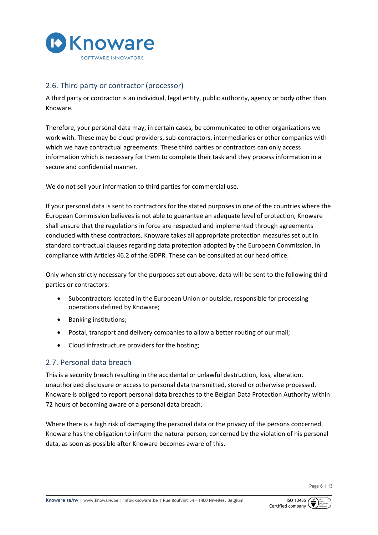

## 2.6. Third party or contractor (processor)

A third party or contractor is an individual, legal entity, public authority, agency or body other than Knoware.

Therefore, your personal data may, in certain cases, be communicated to other organizations we work with. These may be cloud providers, sub-contractors, intermediaries or other companies with which we have contractual agreements. These third parties or contractors can only access information which is necessary for them to complete their task and they process information in a secure and confidential manner.

We do not sell your information to third parties for commercial use.

If your personal data is sent to contractors for the stated purposes in one of the countries where the European Commission believes is not able to guarantee an adequate level of protection, Knoware shall ensure that the regulations in force are respected and implemented through agreements concluded with these contractors. Knoware takes all appropriate protection measures set out in standard contractual clauses regarding data protection adopted by the European Commission, in compliance with Articles 46.2 of the GDPR. These can be consulted at our head office.

Only when strictly necessary for the purposes set out above, data will be sent to the following third parties or contractors:

- Subcontractors located in the European Union or outside, responsible for processing operations defined by Knoware;
- Banking institutions;
- Postal, transport and delivery companies to allow a better routing of our mail;
- Cloud infrastructure providers for the hosting;

## 2.7. Personal data breach

This is a security breach resulting in the accidental or unlawful destruction, loss, alteration, unauthorized disclosure or access to personal data transmitted, stored or otherwise processed. Knoware is obliged to report personal data breaches to the Belgian Data Protection Authority within 72 hours of becoming aware of a personal data breach.

Where there is a high risk of damaging the personal data or the privacy of the persons concerned, Knoware has the obligation to inform the natural person, concerned by the violation of his personal data, as soon as possible after Knoware becomes aware of this.

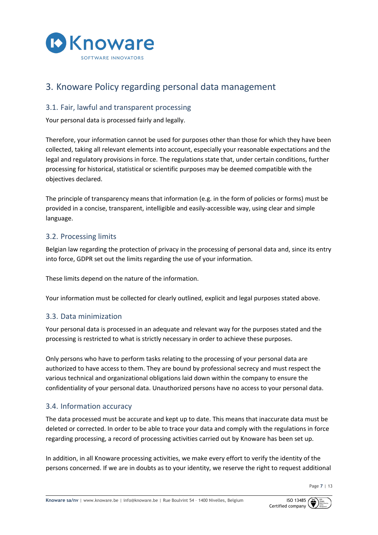

## 3. Knoware Policy regarding personal data management

### 3.1. Fair, lawful and transparent processing

Your personal data is processed fairly and legally.

Therefore, your information cannot be used for purposes other than those for which they have been collected, taking all relevant elements into account, especially your reasonable expectations and the legal and regulatory provisions in force. The regulations state that, under certain conditions, further processing for historical, statistical or scientific purposes may be deemed compatible with the objectives declared.

The principle of transparency means that information (e.g. in the form of policies or forms) must be provided in a concise, transparent, intelligible and easily-accessible way, using clear and simple language.

### 3.2. Processing limits

Belgian law regarding the protection of privacy in the processing of personal data and, since its entry into force, GDPR set out the limits regarding the use of your information.

These limits depend on the nature of the information.

Your information must be collected for clearly outlined, explicit and legal purposes stated above.

### 3.3. Data minimization

Your personal data is processed in an adequate and relevant way for the purposes stated and the processing is restricted to what is strictly necessary in order to achieve these purposes.

Only persons who have to perform tasks relating to the processing of your personal data are authorized to have access to them. They are bound by professional secrecy and must respect the various technical and organizational obligations laid down within the company to ensure the confidentiality of your personal data. Unauthorized persons have no access to your personal data.

### 3.4. Information accuracy

The data processed must be accurate and kept up to date. This means that inaccurate data must be deleted or corrected. In order to be able to trace your data and comply with the regulations in force regarding processing, a record of processing activities carried out by Knoware has been set up.

In addition, in all Knoware processing activities, we make every effort to verify the identity of the persons concerned. If we are in doubts as to your identity, we reserve the right to request additional

Page **7** | 13

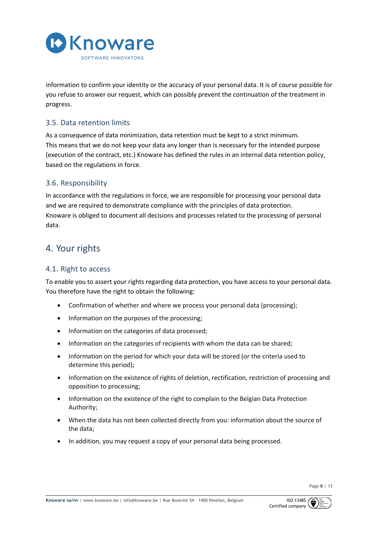

information to confirm your identity or the accuracy of your personal data. It is of course possible for you refuse to answer our request, which can possibly prevent the continuation of the treatment in progress.

## 3.5. Data retention limits

As a consequence of data minimization, data retention must be kept to a strict minimum. This means that we do not keep your data any longer than is necessary for the intended purpose (execution of the contract, etc.) Knoware has defined the rules in an internal data retention policy, based on the regulations in force.

## 3.6. Responsibility

In accordance with the regulations in force, we are responsible for processing your personal data and we are required to demonstrate compliance with the principles of data protection. Knoware is obliged to document all decisions and processes related to the processing of personal data.

## 4. Your rights

### 4.1. Right to access

To enable you to assert your rights regarding data protection, you have access to your personal data. You therefore have the right to obtain the following:

- Confirmation of whether and where we process your personal data (processing);
- Information on the purposes of the processing;
- Information on the categories of data processed;
- Information on the categories of recipients with whom the data can be shared;
- Information on the period for which your data will be stored (or the criteria used to determine this period);
- Information on the existence of rights of deletion, rectification, restriction of processing and opposition to processing;
- Information on the existence of the right to complain to the Belgian Data Protection Authority;
- When the data has not been collected directly from you: information about the source of the data;
- In addition, you may request a copy of your personal data being processed.

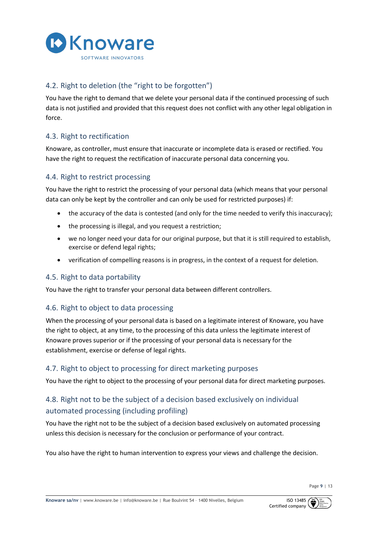

## 4.2. Right to deletion (the "right to be forgotten")

You have the right to demand that we delete your personal data if the continued processing of such data is not justified and provided that this request does not conflict with any other legal obligation in force.

## 4.3. Right to rectification

Knoware, as controller, must ensure that inaccurate or incomplete data is erased or rectified. You have the right to request the rectification of inaccurate personal data concerning you.

## 4.4. Right to restrict processing

You have the right to restrict the processing of your personal data (which means that your personal data can only be kept by the controller and can only be used for restricted purposes) if:

- the accuracy of the data is contested (and only for the time needed to verify this inaccuracy);
- the processing is illegal, and you request a restriction;
- we no longer need your data for our original purpose, but that it is still required to establish, exercise or defend legal rights;
- verification of compelling reasons is in progress, in the context of a request for deletion.

### 4.5. Right to data portability

You have the right to transfer your personal data between different controllers.

## 4.6. Right to object to data processing

When the processing of your personal data is based on a legitimate interest of Knoware, you have the right to object, at any time, to the processing of this data unless the legitimate interest of Knoware proves superior or if the processing of your personal data is necessary for the establishment, exercise or defense of legal rights.

### 4.7. Right to object to processing for direct marketing purposes

You have the right to object to the processing of your personal data for direct marketing purposes.

## 4.8. Right not to be the subject of a decision based exclusively on individual automated processing (including profiling)

You have the right not to be the subject of a decision based exclusively on automated processing unless this decision is necessary for the conclusion or performance of your contract.

You also have the right to human intervention to express your views and challenge the decision.

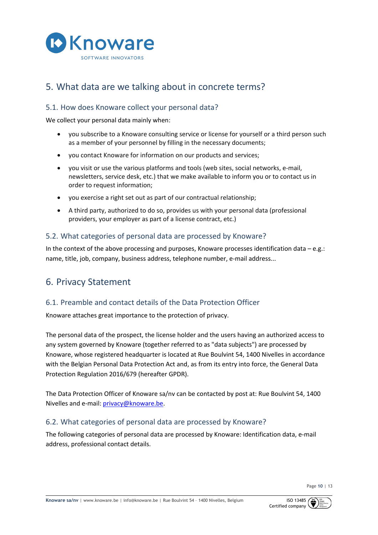

## 5. What data are we talking about in concrete terms?

## 5.1. How does Knoware collect your personal data?

We collect your personal data mainly when:

- you subscribe to a Knoware consulting service or license for yourself or a third person such as a member of your personnel by filling in the necessary documents;
- you contact Knoware for information on our products and services;
- you visit or use the various platforms and tools (web sites, social networks, e-mail, newsletters, service desk, etc.) that we make available to inform you or to contact us in order to request information;
- you exercise a right set out as part of our contractual relationship;
- A third party, authorized to do so, provides us with your personal data (professional providers, your employer as part of a license contract, etc.)

## 5.2. What categories of personal data are processed by Knoware?

In the context of the above processing and purposes, Knoware processes identification data  $-e.g.:$ name, title, job, company, business address, telephone number, e-mail address...

## 6. Privacy Statement

### 6.1. Preamble and contact details of the Data Protection Officer

Knoware attaches great importance to the protection of privacy.

The personal data of the prospect, the license holder and the users having an authorized access to any system governed by Knoware (together referred to as "data subjects") are processed by Knoware, whose registered headquarter is located at Rue Boulvint 54, 1400 Nivelles in accordance with the Belgian Personal Data Protection Act and, as from its entry into force, the General Data Protection Regulation 2016/679 (hereafter GPDR).

The Data Protection Officer of Knoware sa/nv can be contacted by post at: Rue Boulvint 54, 1400 Nivelles and e-mail: privacy@knoware.be.

### 6.2. What categories of personal data are processed by Knoware?

The following categories of personal data are processed by Knoware: Identification data, e-mail address, professional contact details.

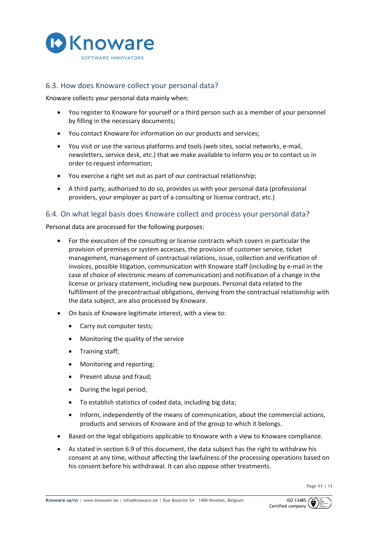

### 6.3. How does Knoware collect your personal data?

Knoware collects your personal data mainly when:

- You register to Knoware for yourself or a third person such as a member of your personnel by filling in the necessary documents;
- You contact Knoware for information on our products and services;
- You visit or use the various platforms and tools (web sites, social networks, e-mail, newsletters, service desk, etc.) that we make available to inform you or to contact us in order to request information;
- You exercise a right set out as part of our contractual relationship;
- A third party, authorized to do so, provides us with your personal data (professional providers, your employer as part of a consulting or license contract, etc.)

#### 6.4. On what legal basis does Knoware collect and process your personal data?

Personal data are processed for the following purposes:

- For the execution of the consulting or license contracts which covers in particular the provision of premises or system accesses, the provision of customer service, ticket management, management of contractual relations, issue, collection and verification of invoices, possible litigation, communication with Knoware staff (including by e-mail in the case of choice of electronic means of communication) and notification of a change in the license or privacy statement, including new purposes. Personal data related to the fulfillment of the precontractual obligations, deriving from the contractual relationship with the data subject, are also processed by Knoware.
- On basis of Knoware legitimate interest, with a view to:
	- Carry out computer tests;
	- Monitoring the quality of the service
	- Training staff;
	- Monitoring and reporting;
	- Prevent abuse and fraud;
	- During the legal period;
	- To establish statistics of coded data, including big data;
	- Inform, independently of the means of communication, about the commercial actions, products and services of Knoware and of the group to which it belongs.
- Based on the legal obligations applicable to Knoware with a view to Knoware compliance.
- As stated in section 6.9 of this document, the data subject has the right to withdraw his consent at any time, without affecting the lawfulness of the processing operations based on his consent before his withdrawal. It can also oppose other treatments.

Page **11** | 13

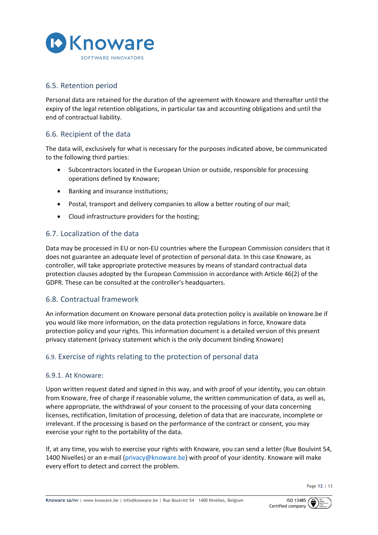

### 6.5. Retention period

Personal data are retained for the duration of the agreement with Knoware and thereafter until the expiry of the legal retention obligations, in particular tax and accounting obligations and until the end of contractual liability.

## 6.6. Recipient of the data

The data will, exclusively for what is necessary for the purposes indicated above, be communicated to the following third parties:

- Subcontractors located in the European Union or outside, responsible for processing operations defined by Knoware;
- Banking and insurance institutions;
- Postal, transport and delivery companies to allow a better routing of our mail;
- Cloud infrastructure providers for the hosting;

### 6.7. Localization of the data

Data may be processed in EU or non-EU countries where the European Commission considers that it does not guarantee an adequate level of protection of personal data. In this case Knoware, as controller, will take appropriate protective measures by means of standard contractual data protection clauses adopted by the European Commission in accordance with Article 46(2) of the GDPR. These can be consulted at the controller's headquarters.

### 6.8. Contractual framework

An information document on Knoware personal data protection policy is available on knoware.be if you would like more information, on the data protection regulations in force, Knoware data protection policy and your rights. This information document is a detailed version of this present privacy statement (privacy statement which is the only document binding Knoware)

## 6.9. Exercise of rights relating to the protection of personal data

#### 6.9.1. At Knoware:

Upon written request dated and signed in this way, and with proof of your identity, you can obtain from Knoware, free of charge if reasonable volume, the written communication of data, as well as, where appropriate, the withdrawal of your consent to the processing of your data concerning licenses, rectification, limitation of processing, deletion of data that are inaccurate, incomplete or irrelevant. If the processing is based on the performance of the contract or consent, you may exercise your right to the portability of the data.

If, at any time, you wish to exercise your rights with Knoware, you can send a letter (Rue Boulvint 54, 1400 Nivelles) or an e-mail (privacy@knoware.be) with proof of your identity. Knoware will make every effort to detect and correct the problem.

Page **12** | 13